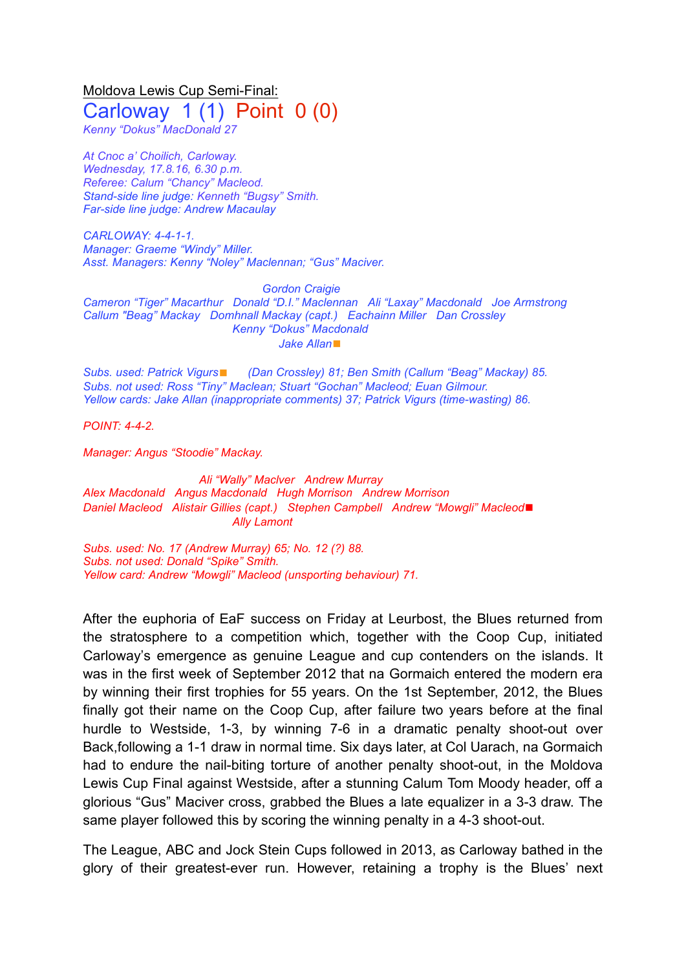Moldova Lewis Cup Semi-Final: Carloway  $1(1)$  Point  $0(0)$ 

*Kenny "Dokus" MacDonald 27*

*At Cnoc a' Choilich, Carloway. Wednesday, 17.8.16, 6.30 p.m. Referee: Calum "Chancy" Macleod. Stand-side line judge: Kenneth "Bugsy" Smith. Far-side line judge: Andrew Macaulay*

*CARLOWAY: 4-4-1-1. Manager: Graeme "Windy" Miller. Asst. Managers: Kenny "Noley" Maclennan; "Gus" Maciver.*

*Gordon Craigie Cameron "Tiger" Macarthur Donald "D.I." Maclennan Ali "Laxay" Macdonald Joe Armstrong Callum "Beag" Mackay Domhnall Mackay (capt.) Eachainn Miller Dan Crossley Kenny "Dokus" Macdonald Jake Allan*◼

*Subs. used: Patrick Vigurs*◼ *(Dan Crossley) 81; Ben Smith (Callum "Beag" Mackay) 85. Subs. not used: Ross "Tiny" Maclean; Stuart "Gochan" Macleod; Euan Gilmour. Yellow cards: Jake Allan (inappropriate comments) 37; Patrick Vigurs (time-wasting) 86.*

*POINT: 4-4-2.*

*Manager: Angus "Stoodie" Mackay.*

*Ali "Wally" Maclver Andrew Murray Alex Macdonald Angus Macdonald Hugh Morrison Andrew Morrison Daniel Macleod Alistair Gillies (capt.) Stephen Campbell Andrew "Mowgli" Macleod*◼ *Ally Lamont*

*Subs. used: No. 17 (Andrew Murray) 65; No. 12 (?) 88. Subs. not used: Donald "Spike" Smith. Yellow card: Andrew "Mowgli" Macleod (unsporting behaviour) 71.*

After the euphoria of EaF success on Friday at Leurbost, the Blues returned from the stratosphere to a competition which, together with the Coop Cup, initiated Carloway's emergence as genuine League and cup contenders on the islands. It was in the first week of September 2012 that na Gormaich entered the modern era by winning their first trophies for 55 years. On the 1st September, 2012, the Blues finally got their name on the Coop Cup, after failure two years before at the final hurdle to Westside, 1-3, by winning 7-6 in a dramatic penalty shoot-out over Back,following a 1-1 draw in normal time. Six days later, at Col Uarach, na Gormaich had to endure the nail-biting torture of another penalty shoot-out, in the Moldova Lewis Cup Final against Westside, after a stunning Calum Tom Moody header, off a glorious "Gus" Maciver cross, grabbed the Blues a late equalizer in a 3-3 draw. The same player followed this by scoring the winning penalty in a 4-3 shoot-out.

The League, ABC and Jock Stein Cups followed in 2013, as Carloway bathed in the glory of their greatest-ever run. However, retaining a trophy is the Blues' next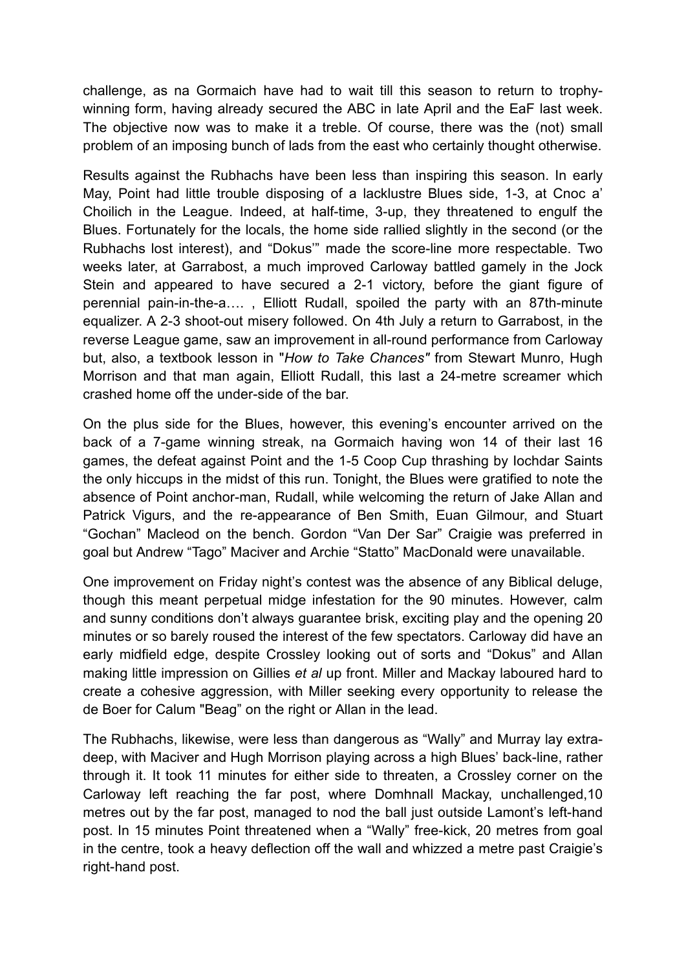challenge, as na Gormaich have had to wait till this season to return to trophywinning form, having already secured the ABC in late April and the EaF last week. The objective now was to make it a treble. Of course, there was the (not) small problem of an imposing bunch of lads from the east who certainly thought otherwise.

Results against the Rubhachs have been less than inspiring this season. In early May, Point had little trouble disposing of a lacklustre Blues side, 1-3, at Cnoc a' Choilich in the League. Indeed, at half-time, 3-up, they threatened to engulf the Blues. Fortunately for the locals, the home side rallied slightly in the second (or the Rubhachs lost interest), and "Dokus'" made the score-line more respectable. Two weeks later, at Garrabost, a much improved Carloway battled gamely in the Jock Stein and appeared to have secured a 2-1 victory, before the giant figure of perennial pain-in-the-a…. , Elliott Rudall, spoiled the party with an 87th-minute equalizer. A 2-3 shoot-out misery followed. On 4th July a return to Garrabost, in the reverse League game, saw an improvement in all-round performance from Carloway but, also, a textbook lesson in "*How to Take Chances"* from Stewart Munro, Hugh Morrison and that man again, Elliott Rudall, this last a 24-metre screamer which crashed home off the under-side of the bar.

On the plus side for the Blues, however, this evening's encounter arrived on the back of a 7-game winning streak, na Gormaich having won 14 of their last 16 games, the defeat against Point and the 1-5 Coop Cup thrashing by Iochdar Saints the only hiccups in the midst of this run. Tonight, the Blues were gratified to note the absence of Point anchor-man, Rudall, while welcoming the return of Jake Allan and Patrick Vigurs, and the re-appearance of Ben Smith, Euan Gilmour, and Stuart "Gochan" Macleod on the bench. Gordon "Van Der Sar" Craigie was preferred in goal but Andrew "Tago" Maciver and Archie "Statto" MacDonald were unavailable.

One improvement on Friday night's contest was the absence of any Biblical deluge, though this meant perpetual midge infestation for the 90 minutes. However, calm and sunny conditions don't always guarantee brisk, exciting play and the opening 20 minutes or so barely roused the interest of the few spectators. Carloway did have an early midfield edge, despite Crossley looking out of sorts and "Dokus" and Allan making little impression on Gillies *et al* up front. Miller and Mackay laboured hard to create a cohesive aggression, with Miller seeking every opportunity to release the de Boer for Calum "Beag" on the right or Allan in the lead.

The Rubhachs, likewise, were less than dangerous as "Wally" and Murray lay extradeep, with Maciver and Hugh Morrison playing across a high Blues' back-line, rather through it. It took 11 minutes for either side to threaten, a Crossley corner on the Carloway left reaching the far post, where Domhnall Mackay, unchallenged,10 metres out by the far post, managed to nod the ball just outside Lamont's left-hand post. In 15 minutes Point threatened when a "Wally" free-kick, 20 metres from goal in the centre, took a heavy deflection off the wall and whizzed a metre past Craigie's right-hand post.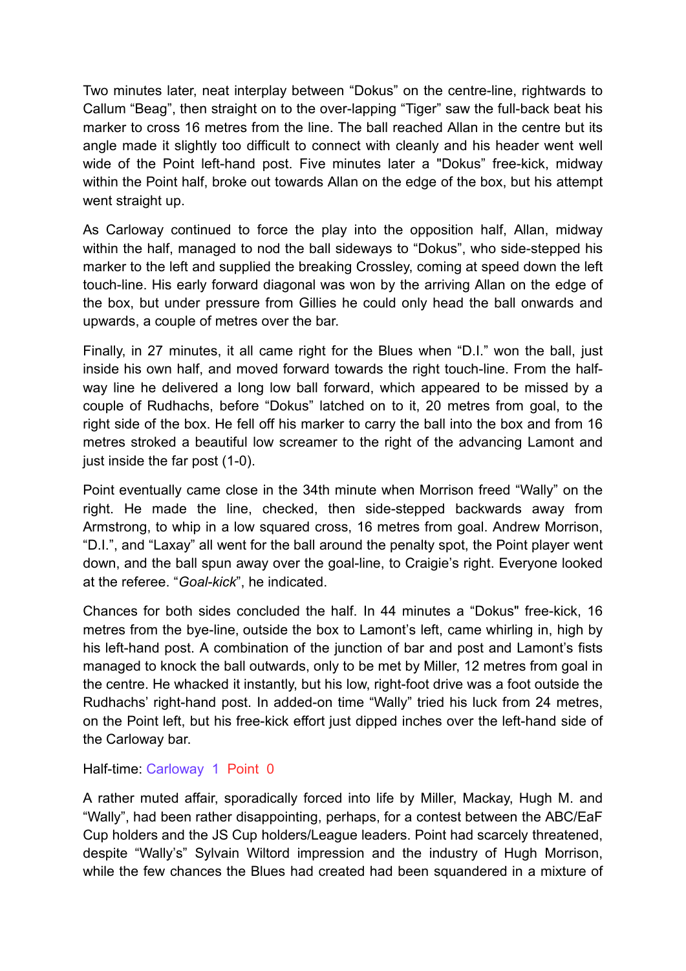Two minutes later, neat interplay between "Dokus" on the centre-line, rightwards to Callum "Beag", then straight on to the over-lapping "Tiger" saw the full-back beat his marker to cross 16 metres from the line. The ball reached Allan in the centre but its angle made it slightly too difficult to connect with cleanly and his header went well wide of the Point left-hand post. Five minutes later a "Dokus" free-kick, midway within the Point half, broke out towards Allan on the edge of the box, but his attempt went straight up.

As Carloway continued to force the play into the opposition half, Allan, midway within the half, managed to nod the ball sideways to "Dokus", who side-stepped his marker to the left and supplied the breaking Crossley, coming at speed down the left touch-line. His early forward diagonal was won by the arriving Allan on the edge of the box, but under pressure from Gillies he could only head the ball onwards and upwards, a couple of metres over the bar.

Finally, in 27 minutes, it all came right for the Blues when "D.I." won the ball, just inside his own half, and moved forward towards the right touch-line. From the halfway line he delivered a long low ball forward, which appeared to be missed by a couple of Rudhachs, before "Dokus" latched on to it, 20 metres from goal, to the right side of the box. He fell off his marker to carry the ball into the box and from 16 metres stroked a beautiful low screamer to the right of the advancing Lamont and just inside the far post (1-0).

Point eventually came close in the 34th minute when Morrison freed "Wally" on the right. He made the line, checked, then side-stepped backwards away from Armstrong, to whip in a low squared cross, 16 metres from goal. Andrew Morrison, "D.I.", and "Laxay" all went for the ball around the penalty spot, the Point player went down, and the ball spun away over the goal-line, to Craigie's right. Everyone looked at the referee. "*Goal-kick*", he indicated.

Chances for both sides concluded the half. In 44 minutes a "Dokus" free-kick, 16 metres from the bye-line, outside the box to Lamont's left, came whirling in, high by his left-hand post. A combination of the junction of bar and post and Lamont's fists managed to knock the ball outwards, only to be met by Miller, 12 metres from goal in the centre. He whacked it instantly, but his low, right-foot drive was a foot outside the Rudhachs' right-hand post. In added-on time "Wally" tried his luck from 24 metres, on the Point left, but his free-kick effort just dipped inches over the left-hand side of the Carloway bar.

Half-time: Carloway 1 Point 0

A rather muted affair, sporadically forced into life by Miller, Mackay, Hugh M. and "Wally", had been rather disappointing, perhaps, for a contest between the ABC/EaF Cup holders and the JS Cup holders/League leaders. Point had scarcely threatened, despite "Wally's" Sylvain Wiltord impression and the industry of Hugh Morrison, while the few chances the Blues had created had been squandered in a mixture of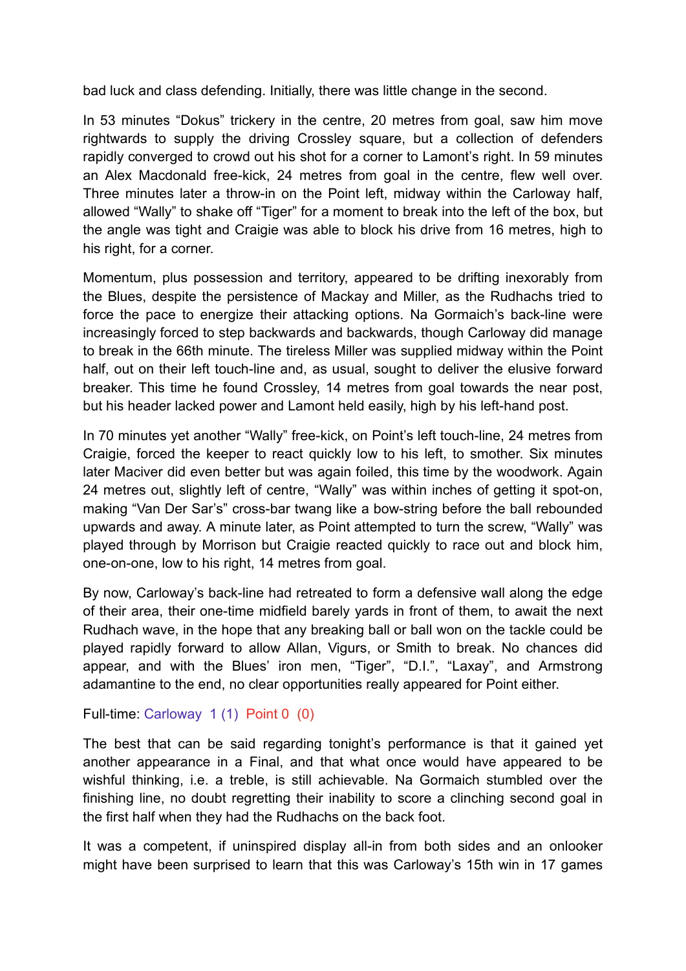bad luck and class defending. Initially, there was little change in the second.

In 53 minutes "Dokus" trickery in the centre, 20 metres from goal, saw him move rightwards to supply the driving Crossley square, but a collection of defenders rapidly converged to crowd out his shot for a corner to Lamont's right. In 59 minutes an Alex Macdonald free-kick, 24 metres from goal in the centre, flew well over. Three minutes later a throw-in on the Point left, midway within the Carloway half, allowed "Wally" to shake off "Tiger" for a moment to break into the left of the box, but the angle was tight and Craigie was able to block his drive from 16 metres, high to his right, for a corner.

Momentum, plus possession and territory, appeared to be drifting inexorably from the Blues, despite the persistence of Mackay and Miller, as the Rudhachs tried to force the pace to energize their attacking options. Na Gormaich's back-line were increasingly forced to step backwards and backwards, though Carloway did manage to break in the 66th minute. The tireless Miller was supplied midway within the Point half, out on their left touch-line and, as usual, sought to deliver the elusive forward breaker. This time he found Crossley, 14 metres from goal towards the near post, but his header lacked power and Lamont held easily, high by his left-hand post.

In 70 minutes yet another "Wally" free-kick, on Point's left touch-line, 24 metres from Craigie, forced the keeper to react quickly low to his left, to smother. Six minutes later Maciver did even better but was again foiled, this time by the woodwork. Again 24 metres out, slightly left of centre, "Wally" was within inches of getting it spot-on, making "Van Der Sar's" cross-bar twang like a bow-string before the ball rebounded upwards and away. A minute later, as Point attempted to turn the screw, "Wally" was played through by Morrison but Craigie reacted quickly to race out and block him, one-on-one, low to his right, 14 metres from goal.

By now, Carloway's back-line had retreated to form a defensive wall along the edge of their area, their one-time midfield barely yards in front of them, to await the next Rudhach wave, in the hope that any breaking ball or ball won on the tackle could be played rapidly forward to allow Allan, Vigurs, or Smith to break. No chances did appear, and with the Blues' iron men, "Tiger", "D.I.", "Laxay", and Armstrong adamantine to the end, no clear opportunities really appeared for Point either.

Full-time: Carloway 1 (1) Point 0 (0)

The best that can be said regarding tonight's performance is that it gained yet another appearance in a Final, and that what once would have appeared to be wishful thinking, i.e. a treble, is still achievable. Na Gormaich stumbled over the finishing line, no doubt regretting their inability to score a clinching second goal in the first half when they had the Rudhachs on the back foot.

It was a competent, if uninspired display all-in from both sides and an onlooker might have been surprised to learn that this was Carloway's 15th win in 17 games